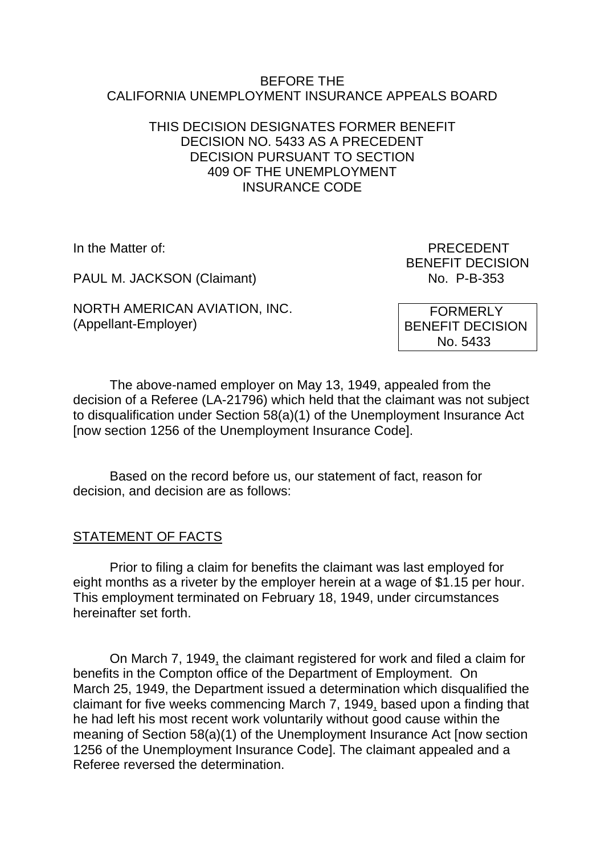#### BEFORE THE CALIFORNIA UNEMPLOYMENT INSURANCE APPEALS BOARD

# THIS DECISION DESIGNATES FORMER BENEFIT DECISION NO. 5433 AS A PRECEDENT DECISION PURSUANT TO SECTION 409 OF THE UNEMPLOYMENT INSURANCE CODE

PAUL M. JACKSON (Claimant) No. P-B-353

NORTH AMERICAN AVIATION, INC. (Appellant-Employer)

In the Matter of: PRECEDENT BENEFIT DECISION

> FORMERLY BENEFIT DECISION No. 5433

The above-named employer on May 13, 1949, appealed from the decision of a Referee (LA-21796) which held that the claimant was not subject to disqualification under Section 58(a)(1) of the Unemployment Insurance Act [now section 1256 of the Unemployment Insurance Code].

Based on the record before us, our statement of fact, reason for decision, and decision are as follows:

### STATEMENT OF FACTS

Prior to filing a claim for benefits the claimant was last employed for eight months as a riveter by the employer herein at a wage of \$1.15 per hour. This employment terminated on February 18, 1949, under circumstances hereinafter set forth.

On March 7, 1949, the claimant registered for work and filed a claim for benefits in the Compton office of the Department of Employment. On March 25, 1949, the Department issued a determination which disqualified the claimant for five weeks commencing March 7, 1949, based upon a finding that he had left his most recent work voluntarily without good cause within the meaning of Section 58(a)(1) of the Unemployment Insurance Act [now section 1256 of the Unemployment Insurance Code]. The claimant appealed and a Referee reversed the determination.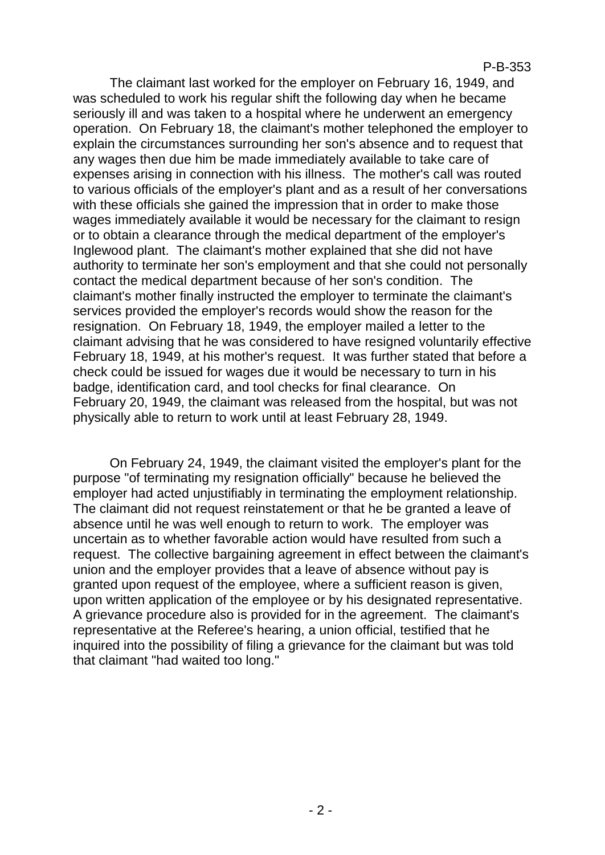#### P-B-353

The claimant last worked for the employer on February 16, 1949, and was scheduled to work his regular shift the following day when he became seriously ill and was taken to a hospital where he underwent an emergency operation. On February 18, the claimant's mother telephoned the employer to explain the circumstances surrounding her son's absence and to request that any wages then due him be made immediately available to take care of expenses arising in connection with his illness. The mother's call was routed to various officials of the employer's plant and as a result of her conversations with these officials she gained the impression that in order to make those wages immediately available it would be necessary for the claimant to resign or to obtain a clearance through the medical department of the employer's Inglewood plant. The claimant's mother explained that she did not have authority to terminate her son's employment and that she could not personally contact the medical department because of her son's condition. The claimant's mother finally instructed the employer to terminate the claimant's services provided the employer's records would show the reason for the resignation. On February 18, 1949, the employer mailed a letter to the claimant advising that he was considered to have resigned voluntarily effective February 18, 1949, at his mother's request. It was further stated that before a check could be issued for wages due it would be necessary to turn in his badge, identification card, and tool checks for final clearance. On February 20, 1949, the claimant was released from the hospital, but was not physically able to return to work until at least February 28, 1949.

On February 24, 1949, the claimant visited the employer's plant for the purpose "of terminating my resignation officially" because he believed the employer had acted unjustifiably in terminating the employment relationship. The claimant did not request reinstatement or that he be granted a leave of absence until he was well enough to return to work. The employer was uncertain as to whether favorable action would have resulted from such a request. The collective bargaining agreement in effect between the claimant's union and the employer provides that a leave of absence without pay is granted upon request of the employee, where a sufficient reason is given, upon written application of the employee or by his designated representative. A grievance procedure also is provided for in the agreement. The claimant's representative at the Referee's hearing, a union official, testified that he inquired into the possibility of filing a grievance for the claimant but was told that claimant "had waited too long."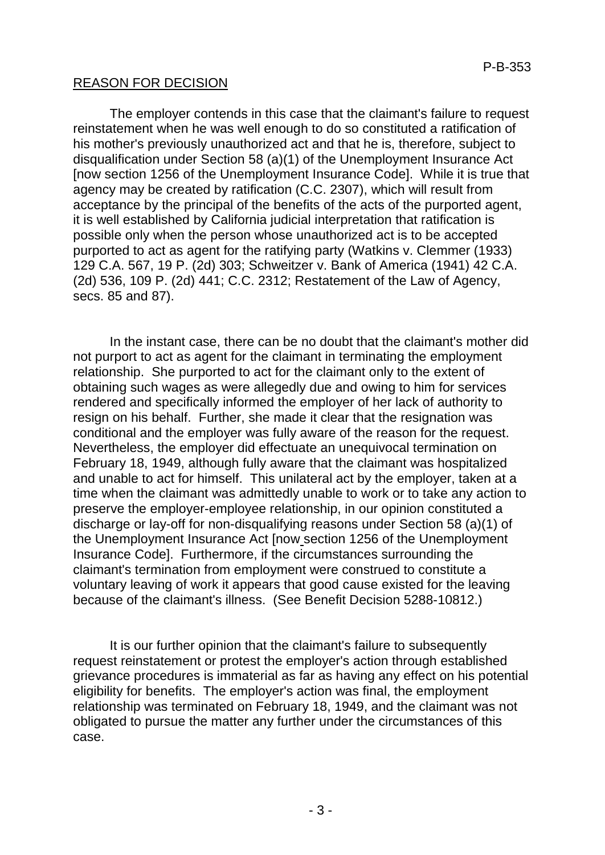# REASON FOR DECISION

The employer contends in this case that the claimant's failure to request reinstatement when he was well enough to do so constituted a ratification of his mother's previously unauthorized act and that he is, therefore, subject to disqualification under Section 58 (a)(1) of the Unemployment Insurance Act [now section 1256 of the Unemployment Insurance Code]. While it is true that agency may be created by ratification (C.C. 2307), which will result from acceptance by the principal of the benefits of the acts of the purported agent, it is well established by California judicial interpretation that ratification is possible only when the person whose unauthorized act is to be accepted purported to act as agent for the ratifying party (Watkins v. Clemmer (1933) 129 C.A. 567, 19 P. (2d) 303; Schweitzer v. Bank of America (1941) 42 C.A. (2d) 536, 109 P. (2d) 441; C.C. 2312; Restatement of the Law of Agency, secs. 85 and 87).

In the instant case, there can be no doubt that the claimant's mother did not purport to act as agent for the claimant in terminating the employment relationship. She purported to act for the claimant only to the extent of obtaining such wages as were allegedly due and owing to him for services rendered and specifically informed the employer of her lack of authority to resign on his behalf. Further, she made it clear that the resignation was conditional and the employer was fully aware of the reason for the request. Nevertheless, the employer did effectuate an unequivocal termination on February 18, 1949, although fully aware that the claimant was hospitalized and unable to act for himself. This unilateral act by the employer, taken at a time when the claimant was admittedly unable to work or to take any action to preserve the employer-employee relationship, in our opinion constituted a discharge or lay-off for non-disqualifying reasons under Section 58 (a)(1) of the Unemployment Insurance Act [now section 1256 of the Unemployment Insurance Code]. Furthermore, if the circumstances surrounding the claimant's termination from employment were construed to constitute a voluntary leaving of work it appears that good cause existed for the leaving because of the claimant's illness. (See Benefit Decision 5288-10812.)

It is our further opinion that the claimant's failure to subsequently request reinstatement or protest the employer's action through established grievance procedures is immaterial as far as having any effect on his potential eligibility for benefits. The employer's action was final, the employment relationship was terminated on February 18, 1949, and the claimant was not obligated to pursue the matter any further under the circumstances of this case.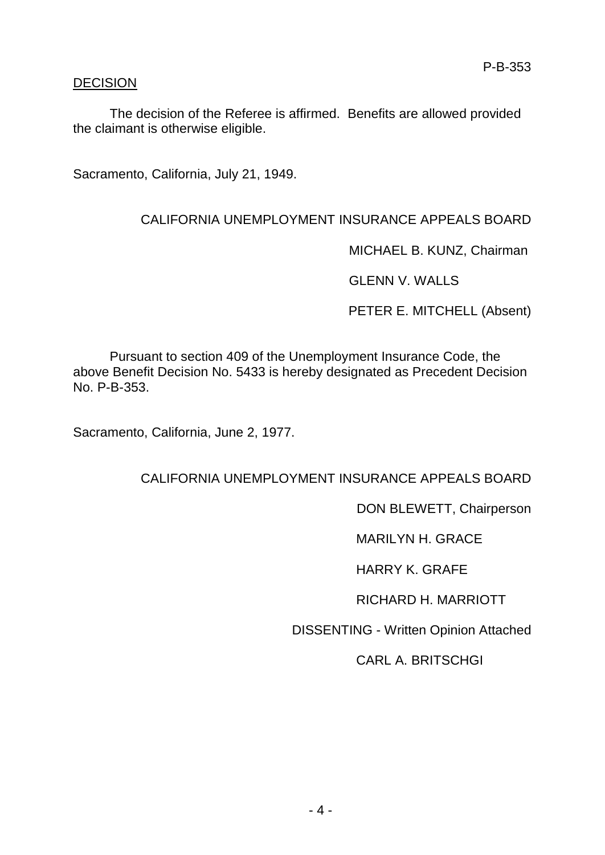# DECISION

The decision of the Referee is affirmed. Benefits are allowed provided the claimant is otherwise eligible.

Sacramento, California, July 21, 1949.

# CALIFORNIA UNEMPLOYMENT INSURANCE APPEALS BOARD

MICHAEL B. KUNZ, Chairman

GLENN V. WALLS

PETER E. MITCHELL (Absent)

Pursuant to section 409 of the Unemployment Insurance Code, the above Benefit Decision No. 5433 is hereby designated as Precedent Decision No. P-B-353.

Sacramento, California, June 2, 1977.

CALIFORNIA UNEMPLOYMENT INSURANCE APPEALS BOARD

DON BLEWETT, Chairperson

MARILYN H. GRACE

HARRY K. GRAFE

RICHARD H. MARRIOTT

DISSENTING - Written Opinion Attached

CARL A. BRITSCHGI